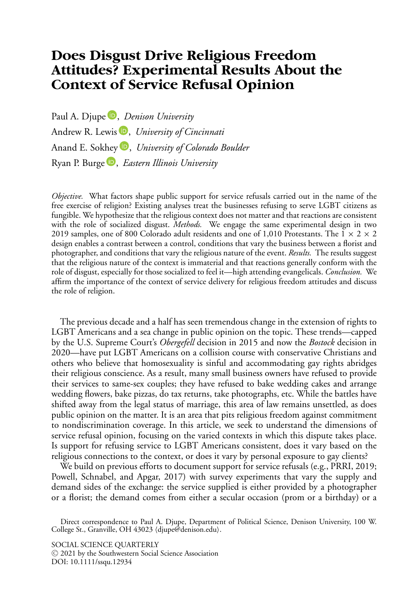# **Does Disgust Drive Religious Freedom Attitudes? Experimental Results About the Context of Service Refusal Opinion**

Paul A. Djupe<sup>D</sup>[,](https://orcid.org/0000-0001-6944-429X) *Denison University* Andrew R. Lewis<sup>D</sup>[,](https://orcid.org/0000-0002-5291-0175) *University of Cincinnati* Anand E. Sokhey<sup>D</sup>[,](https://orcid.org/0000-0002-3403-0967) *University of Colorado Boulder* Ryan P. Burge [,](https://orcid.org/0000-0002-8266-3224) *Eastern Illinois University*

*Objective.* What factors shape public support for service refusals carried out in the name of the free exercise of religion? Existing analyses treat the businesses refusing to serve LGBT citizens as fungible. We hypothesize that the religious context does not matter and that reactions are consistent with the role of socialized disgust. *Methods.* We engage the same experimental design in two 2019 samples, one of 800 Colorado adult residents and one of 1,010 Protestants. The  $1 \times 2 \times 2$ design enables a contrast between a control, conditions that vary the business between a florist and photographer, and conditions that vary the religious nature of the event. *Results.* The results suggest that the religious nature of the context is immaterial and that reactions generally conform with the role of disgust, especially for those socialized to feel it—high attending evangelicals. *Conclusion.* We affirm the importance of the context of service delivery for religious freedom attitudes and discuss the role of religion.

The previous decade and a half has seen tremendous change in the extension of rights to LGBT Americans and a sea change in public opinion on the topic. These trends—capped by the U.S. Supreme Court's *Obergefell* decision in 2015 and now the *Bostock* decision in 2020—have put LGBT Americans on a collision course with conservative Christians and others who believe that homosexuality is sinful and accommodating gay rights abridges their religious conscience. As a result, many small business owners have refused to provide their services to same-sex couples; they have refused to bake wedding cakes and arrange wedding flowers, bake pizzas, do tax returns, take photographs, etc. While the battles have shifted away from the legal status of marriage, this area of law remains unsettled, as does public opinion on the matter. It is an area that pits religious freedom against commitment to nondiscrimination coverage. In this article, we seek to understand the dimensions of service refusal opinion, focusing on the varied contexts in which this dispute takes place. Is support for refusing service to LGBT Americans consistent, does it vary based on the religious connections to the context, or does it vary by personal exposure to gay clients?

We build on previous efforts to document support for service refusals (e.g., PRRI, 2019; Powell, Schnabel, and Apgar, 2017) with survey experiments that vary the supply and demand sides of the exchange: the service supplied is either provided by a photographer or a florist; the demand comes from either a secular occasion (prom or a birthday) or a

Direct correspondence to Paul A. Djupe, Department of Political Science, Denison University, 100 W. College St., Granville, OH 43023 (djupe@denison.edu).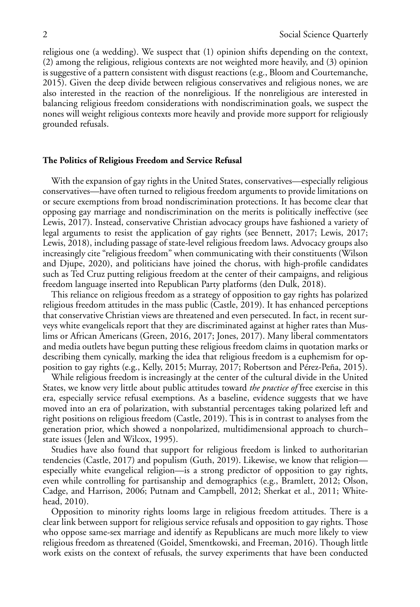religious one (a wedding). We suspect that (1) opinion shifts depending on the context, (2) among the religious, religious contexts are not weighted more heavily, and (3) opinion is suggestive of a pattern consistent with disgust reactions (e.g., Bloom and Courtemanche, 2015). Given the deep divide between religious conservatives and religious nones, we are also interested in the reaction of the nonreligious. If the nonreligious are interested in balancing religious freedom considerations with nondiscrimination goals, we suspect the nones will weight religious contexts more heavily and provide more support for religiously grounded refusals.

# **The Politics of Religious Freedom and Service Refusal**

With the expansion of gay rights in the United States, conservatives—especially religious conservatives—have often turned to religious freedom arguments to provide limitations on or secure exemptions from broad nondiscrimination protections. It has become clear that opposing gay marriage and nondiscrimination on the merits is politically ineffective (see Lewis, 2017). Instead, conservative Christian advocacy groups have fashioned a variety of legal arguments to resist the application of gay rights (see Bennett, 2017; Lewis, 2017; Lewis, 2018), including passage of state-level religious freedom laws. Advocacy groups also increasingly cite "religious freedom" when communicating with their constituents (Wilson and Djupe, 2020), and politicians have joined the chorus, with high-profile candidates such as Ted Cruz putting religious freedom at the center of their campaigns, and religious freedom language inserted into Republican Party platforms (den Dulk, 2018).

This reliance on religious freedom as a strategy of opposition to gay rights has polarized religious freedom attitudes in the mass public (Castle, 2019). It has enhanced perceptions that conservative Christian views are threatened and even persecuted. In fact, in recent surveys white evangelicals report that they are discriminated against at higher rates than Muslims or African Americans (Green, 2016, 2017; Jones, 2017). Many liberal commentators and media outlets have begun putting these religious freedom claims in quotation marks or describing them cynically, marking the idea that religious freedom is a euphemism for opposition to gay rights (e.g., Kelly, 2015; Murray, 2017; Robertson and Pérez-Peña, 2015).

While religious freedom is increasingly at the center of the cultural divide in the United States, we know very little about public attitudes toward *the practice of* free exercise in this era, especially service refusal exemptions. As a baseline, evidence suggests that we have moved into an era of polarization, with substantial percentages taking polarized left and right positions on religious freedom (Castle, 2019). This is in contrast to analyses from the generation prior, which showed a nonpolarized, multidimensional approach to church– state issues (Jelen and Wilcox, 1995).

Studies have also found that support for religious freedom is linked to authoritarian tendencies (Castle, 2017) and populism (Guth, 2019). Likewise, we know that religion especially white evangelical religion—is a strong predictor of opposition to gay rights, even while controlling for partisanship and demographics (e.g., Bramlett, 2012; Olson, Cadge, and Harrison, 2006; Putnam and Campbell, 2012; Sherkat et al., 2011; Whitehead, 2010).

Opposition to minority rights looms large in religious freedom attitudes. There is a clear link between support for religious service refusals and opposition to gay rights. Those who oppose same-sex marriage and identify as Republicans are much more likely to view religious freedom as threatened (Goidel, Smentkowski, and Freeman, 2016). Though little work exists on the context of refusals, the survey experiments that have been conducted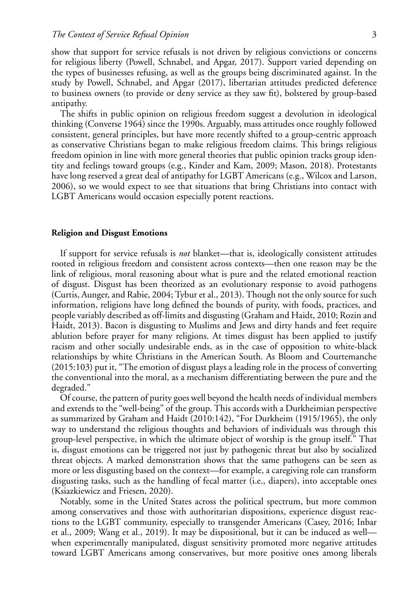show that support for service refusals is not driven by religious convictions or concerns for religious liberty (Powell, Schnabel, and Apgar, 2017). Support varied depending on the types of businesses refusing, as well as the groups being discriminated against. In the study by Powell, Schnabel, and Apgar (2017), libertarian attitudes predicted deference to business owners (to provide or deny service as they saw fit), bolstered by group-based antipathy.

The shifts in public opinion on religious freedom suggest a devolution in ideological thinking (Converse 1964) since the 1990s. Arguably, mass attitudes once roughly followed consistent, general principles, but have more recently shifted to a group-centric approach as conservative Christians began to make religious freedom claims. This brings religious freedom opinion in line with more general theories that public opinion tracks group identity and feelings toward groups (e.g., Kinder and Kam, 2009; Mason, 2018). Protestants have long reserved a great deal of antipathy for LGBT Americans (e.g., Wilcox and Larson, 2006), so we would expect to see that situations that bring Christians into contact with LGBT Americans would occasion especially potent reactions.

## **Religion and Disgust Emotions**

If support for service refusals is *not* blanket—that is, ideologically consistent attitudes rooted in religious freedom and consistent across contexts—then one reason may be the link of religious, moral reasoning about what is pure and the related emotional reaction of disgust. Disgust has been theorized as an evolutionary response to avoid pathogens (Curtis, Aunger, and Rabie, 2004; Tybur et al., 2013). Though not the only source for such information, religions have long defined the bounds of purity, with foods, practices, and people variably described as off-limits and disgusting (Graham and Haidt, 2010; Rozin and Haidt, 2013). Bacon is disgusting to Muslims and Jews and dirty hands and feet require ablution before prayer for many religions. At times disgust has been applied to justify racism and other socially undesirable ends, as in the case of opposition to white-black relationships by white Christians in the American South. As Bloom and Courtemanche (2015:103) put it, "The emotion of disgust plays a leading role in the process of converting the conventional into the moral, as a mechanism differentiating between the pure and the degraded."

Of course, the pattern of purity goes well beyond the health needs of individual members and extends to the "well-being" of the group. This accords with a Durkheimian perspective as summarized by Graham and Haidt (2010:142), "For Durkheim (1915/1965), the only way to understand the religious thoughts and behaviors of individuals was through this group-level perspective, in which the ultimate object of worship is the group itself." That is, disgust emotions can be triggered not just by pathogenic threat but also by socialized threat objects. A marked demonstration shows that the same pathogens can be seen as more or less disgusting based on the context—for example, a caregiving role can transform disgusting tasks, such as the handling of fecal matter (i.e., diapers), into acceptable ones (Ksiazkiewicz and Friesen, 2020).

Notably, some in the United States across the political spectrum, but more common among conservatives and those with authoritarian dispositions, experience disgust reactions to the LGBT community, especially to transgender Americans (Casey, 2016; Inbar et al., 2009; Wang et al., 2019). It may be dispositional, but it can be induced as well when experimentally manipulated, disgust sensitivity promoted more negative attitudes toward LGBT Americans among conservatives, but more positive ones among liberals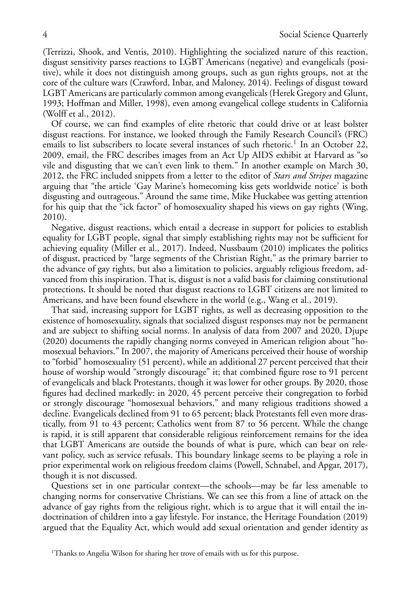(Terrizzi, Shook, and Ventis, 2010). Highlighting the socialized nature of this reaction, disgust sensitivity parses reactions to LGBT Americans (negative) and evangelicals (positive), while it does not distinguish among groups, such as gun rights groups, not at the core of the culture wars (Crawford, Inbar, and Maloney, 2014). Feelings of disgust toward LGBT Americans are particularly common among evangelicals (Herek Gregory and Glunt, 1993; Hoffman and Miller, 1998), even among evangelical college students in California (Wolff et al., 2012).

Of course, we can find examples of elite rhetoric that could drive or at least bolster disgust reactions. For instance, we looked through the Family Research Council's (FRC) emails to list subscribers to locate several instances of such rhetoric.<sup>1</sup> In an October 22, 2009, email, the FRC describes images from an Act Up AIDS exhibit at Harvard as "so vile and disgusting that we can't even link to them." In another example on March 30, 2012, the FRC included snippets from a letter to the editor of *Stars and Stripes* magazine arguing that "the article 'Gay Marine's homecoming kiss gets worldwide notice' is both disgusting and outrageous." Around the same time, Mike Huckabee was getting attention for his quip that the "ick factor" of homosexuality shaped his views on gay rights (Wing, 2010).

Negative, disgust reactions, which entail a decrease in support for policies to establish equality for LGBT people, signal that simply establishing rights may not be sufficient for achieving equality (Miller et al., 2017). Indeed, Nussbaum (2010) implicates the politics of disgust, practiced by "large segments of the Christian Right," as the primary barrier to the advance of gay rights, but also a limitation to policies, arguably religious freedom, advanced from this inspiration. That is, disgust is not a valid basis for claiming constitutional protections. It should be noted that disgust reactions to LGBT citizens are not limited to Americans, and have been found elsewhere in the world (e.g., Wang et al., 2019).

That said, increasing support for LGBT rights, as well as decreasing opposition to the existence of homosexuality, signals that socialized disgust responses may not be permanent and are subject to shifting social norms. In analysis of data from 2007 and 2020, Djupe (2020) documents the rapidly changing norms conveyed in American religion about "homosexual behaviors." In 2007, the majority of Americans perceived their house of worship to "forbid" homosexuality (51 percent), while an additional 27 percent perceived that their house of worship would "strongly discourage" it; that combined figure rose to 91 percent of evangelicals and black Protestants, though it was lower for other groups. By 2020, those figures had declined markedly: in 2020, 45 percent perceive their congregation to forbid or strongly discourage "homosexual behaviors," and many religious traditions showed a decline. Evangelicals declined from 91 to 65 percent; black Protestants fell even more drastically, from 91 to 43 percent; Catholics went from 87 to 56 percent. While the change is rapid, it is still apparent that considerable religious reinforcement remains for the idea that LGBT Americans are outside the bounds of what is pure, which can bear on relevant policy, such as service refusals. This boundary linkage seems to be playing a role in prior experimental work on religious freedom claims (Powell, Schnabel, and Apgar, 2017), though it is not discussed.

Questions set in one particular context—the schools—may be far less amenable to changing norms for conservative Christians. We can see this from a line of attack on the advance of gay rights from the religious right, which is to argue that it will entail the indoctrination of children into a gay lifestyle. For instance, the Heritage Foundation (2019) argued that the Equality Act, which would add sexual orientation and gender identity as

<sup>&</sup>lt;sup>1</sup>Thanks to Angelia Wilson for sharing her trove of emails with us for this purpose.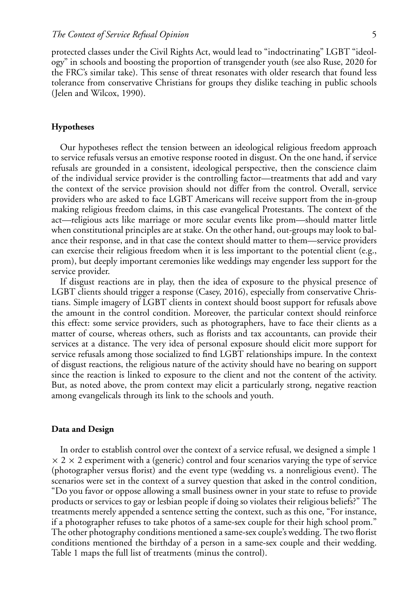protected classes under the Civil Rights Act, would lead to "indoctrinating" LGBT "ideology" in schools and boosting the proportion of transgender youth (see also Ruse, 2020 for the FRC's similar take). This sense of threat resonates with older research that found less tolerance from conservative Christians for groups they dislike teaching in public schools (Jelen and Wilcox, 1990).

# **Hypotheses**

Our hypotheses reflect the tension between an ideological religious freedom approach to service refusals versus an emotive response rooted in disgust. On the one hand, if service refusals are grounded in a consistent, ideological perspective, then the conscience claim of the individual service provider is the controlling factor—treatments that add and vary the context of the service provision should not differ from the control. Overall, service providers who are asked to face LGBT Americans will receive support from the in-group making religious freedom claims, in this case evangelical Protestants. The context of the act—religious acts like marriage or more secular events like prom—should matter little when constitutional principles are at stake. On the other hand, out-groups may look to balance their response, and in that case the context should matter to them—service providers can exercise their religious freedom when it is less important to the potential client (e.g., prom), but deeply important ceremonies like weddings may engender less support for the service provider.

If disgust reactions are in play, then the idea of exposure to the physical presence of LGBT clients should trigger a response (Casey, 2016), especially from conservative Christians. Simple imagery of LGBT clients in context should boost support for refusals above the amount in the control condition. Moreover, the particular context should reinforce this effect: some service providers, such as photographers, have to face their clients as a matter of course, whereas others, such as florists and tax accountants, can provide their services at a distance. The very idea of personal exposure should elicit more support for service refusals among those socialized to find LGBT relationships impure. In the context of disgust reactions, the religious nature of the activity should have no bearing on support since the reaction is linked to exposure to the client and not the content of the activity. But, as noted above, the prom context may elicit a particularly strong, negative reaction among evangelicals through its link to the schools and youth.

## **Data and Design**

In order to establish control over the context of a service refusal, we designed a simple 1  $\times$  2  $\times$  2 experiment with a (generic) control and four scenarios varying the type of service (photographer versus florist) and the event type (wedding vs. a nonreligious event). The scenarios were set in the context of a survey question that asked in the control condition, "Do you favor or oppose allowing a small business owner in your state to refuse to provide products or services to gay or lesbian people if doing so violates their religious beliefs?" The treatments merely appended a sentence setting the context, such as this one, "For instance, if a photographer refuses to take photos of a same-sex couple for their high school prom." The other photography conditions mentioned a same-sex couple's wedding. The two florist conditions mentioned the birthday of a person in a same-sex couple and their wedding. Table 1 maps the full list of treatments (minus the control).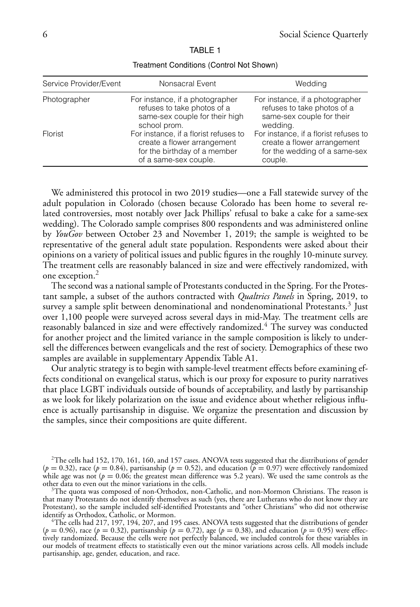| Service Provider/Event | Nonsacral Event                                                                                                               | Wedding                                                                                                          |
|------------------------|-------------------------------------------------------------------------------------------------------------------------------|------------------------------------------------------------------------------------------------------------------|
| Photographer           | For instance, if a photographer<br>refuses to take photos of a<br>same-sex couple for their high<br>school prom.              | For instance, if a photographer<br>refuses to take photos of a<br>same-sex couple for their<br>wedding.          |
| Florist                | For instance, if a florist refuses to<br>create a flower arrangement<br>for the birthday of a member<br>of a same-sex couple. | For instance, if a florist refuses to<br>create a flower arrangement<br>for the wedding of a same-sex<br>couple. |

TABLE 1

Treatment Conditions (Control Not Shown)

We administered this protocol in two 2019 studies—one a Fall statewide survey of the adult population in Colorado (chosen because Colorado has been home to several related controversies, most notably over Jack Phillips' refusal to bake a cake for a same-sex wedding). The Colorado sample comprises 800 respondents and was administered online by *YouGov* between October 23 and November 1, 2019; the sample is weighted to be representative of the general adult state population. Respondents were asked about their opinions on a variety of political issues and public figures in the roughly 10-minute survey. The treatment cells are reasonably balanced in size and were effectively randomized, with one exception.2

The second was a national sample of Protestants conducted in the Spring. For the Protestant sample, a subset of the authors contracted with *Qualtrics Panels* in Spring, 2019, to survey a sample split between denominational and nondenominational Protestants.<sup>3</sup> Just over 1,100 people were surveyed across several days in mid-May. The treatment cells are reasonably balanced in size and were effectively randomized.4 The survey was conducted for another project and the limited variance in the sample composition is likely to undersell the differences between evangelicals and the rest of society. Demographics of these two samples are available in supplementary Appendix Table A1.

Our analytic strategy is to begin with sample-level treatment effects before examining effects conditional on evangelical status, which is our proxy for exposure to purity narratives that place LGBT individuals outside of bounds of acceptability, and lastly by partisanship as we look for likely polarization on the issue and evidence about whether religious influence is actually partisanship in disguise. We organize the presentation and discussion by the samples, since their compositions are quite different.

 $2$ The cells had 152, 170, 161, 160, and 157 cases. ANOVA tests suggested that the distributions of gender  $(p = 0.32)$ , race  $(p = 0.84)$ , partisanship  $(p = 0.52)$ , and education  $p = 0.97$ ) were effectively randomized while age was not ( $p = 0.06$ ; the greatest mean difference was 5.2 years). We used the same controls as the other data to even out the minor variations in the cells.

 ${}^{3}$ The quota was composed of non-Orthodox, non-Catholic, and non-Mormon Christians. The reason is that many Protestants do not identify themselves as such (yes, there are Lutherans who do not know they are Protestant), so the sample included self-identified Protestants and "other Christians" who did not otherwise

The cells had 217, 197, 194, 207, and 195 cases. ANOVA tests suggested that the distributions of gender ( $p = 0.96$ ), race ( $p = 0.32$ ), partisanship ( $p = 0.72$ ), age ( $p = 0.38$ ), and education ( $p = 0.95$ ) were effectively randomized. Because the cells were not perfectly balanced, we included controls for these variables in our models of treatment effects to statistically even out the minor variations across cells. All models include partisanship, age, gender, education, and race.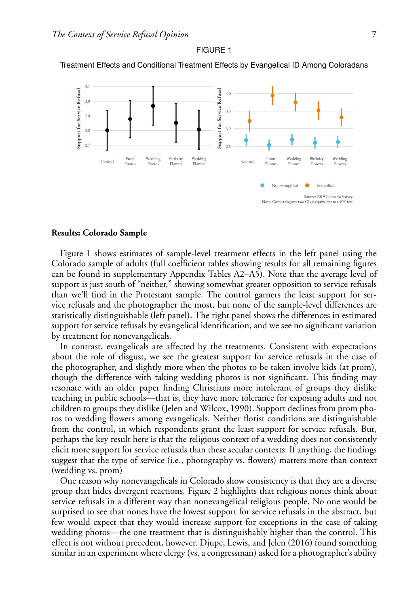

FIGURE 1 Treatment Effects and Conditional Treatment Effects by Evangelical ID Among Coloradans

## **Results: Colorado Sample**

Figure 1 shows estimates of sample-level treatment effects in the left panel using the Colorado sample of adults (full coefficient tables showing results for all remaining figures can be found in supplementary Appendix Tables A2–A5). Note that the average level of support is just south of "neither," showing somewhat greater opposition to service refusals than we'll find in the Protestant sample. The control garners the least support for service refusals and the photographer the most, but none of the sample-level differences are statistically distinguishable (left panel). The right panel shows the differences in estimated support for service refusals by evangelical identification, and we see no significant variation by treatment for nonevangelicals.

In contrast, evangelicals are affected by the treatments. Consistent with expectations about the role of disgust, we see the greatest support for service refusals in the case of the photographer, and slightly more when the photos to be taken involve kids (at prom), though the difference with taking wedding photos is not significant. This finding may resonate with an older paper finding Christians more intolerant of groups they dislike teaching in public schools—that is, they have more tolerance for exposing adults and not children to groups they dislike (Jelen and Wilcox, 1990). Support declines from prom photos to wedding flowers among evangelicals. Neither florist conditions are distinguishable from the control, in which respondents grant the least support for service refusals. But, perhaps the key result here is that the religious context of a wedding does not consistently elicit more support for service refusals than these secular contexts. If anything, the findings suggest that the type of service (i.e., photography vs. flowers) matters more than context (wedding vs. prom)

One reason why nonevangelicals in Colorado show consistency is that they are a diverse group that hides divergent reactions. Figure 2 highlights that religious nones think about service refusals in a different way than nonevangelical religious people. No one would be surprised to see that nones have the lowest support for service refusals in the abstract, but few would expect that they would increase support for exceptions in the case of taking wedding photos—the one treatment that is distinguishably higher than the control. This effect is not without precedent, however. Djupe, Lewis, and Jelen (2016) found something similar in an experiment where clergy (vs. a congressman) asked for a photographer's ability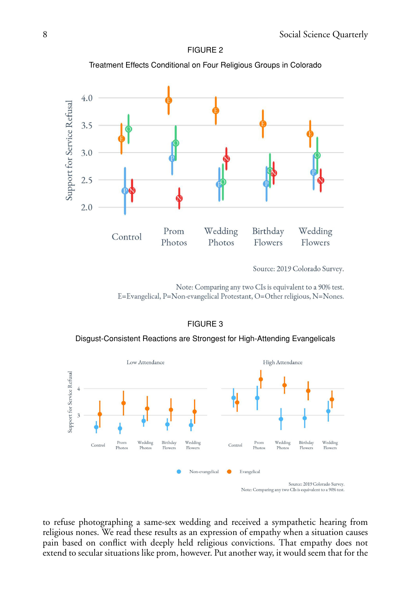

FIGURE 2 Treatment Effects Conditional on Four Religious Groups in Colorado

Source: 2019 Colorado Survey.

Note: Comparing any two CIs is equivalent to a 90% test. E=Evangelical, P=Non-evangelical Protestant, O=Other religious, N=Nones.

# FIGURE 3

Disgust-Consistent Reactions are Strongest for High-Attending Evangelicals



to refuse photographing a same-sex wedding and received a sympathetic hearing from religious nones. We read these results as an expression of empathy when a situation causes pain based on conflict with deeply held religious convictions. That empathy does not extend to secular situations like prom, however. Put another way, it would seem that for the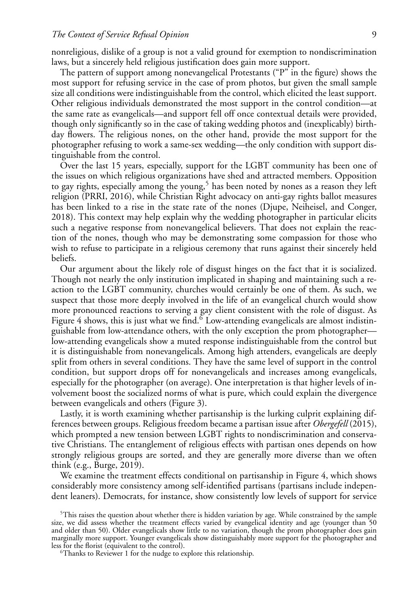nonreligious, dislike of a group is not a valid ground for exemption to nondiscrimination laws, but a sincerely held religious justification does gain more support.

The pattern of support among nonevangelical Protestants ("P" in the figure) shows the most support for refusing service in the case of prom photos, but given the small sample size all conditions were indistinguishable from the control, which elicited the least support. Other religious individuals demonstrated the most support in the control condition—at the same rate as evangelicals—and support fell off once contextual details were provided, though only significantly so in the case of taking wedding photos and (inexplicably) birthday flowers. The religious nones, on the other hand, provide the most support for the photographer refusing to work a same-sex wedding—the only condition with support distinguishable from the control.

Over the last 15 years, especially, support for the LGBT community has been one of the issues on which religious organizations have shed and attracted members. Opposition to gay rights, especially among the young,<sup>5</sup> has been noted by nones as a reason they left religion (PRRI, 2016), while Christian Right advocacy on anti-gay rights ballot measures has been linked to a rise in the state rate of the nones (Djupe, Neiheisel, and Conger, 2018). This context may help explain why the wedding photographer in particular elicits such a negative response from nonevangelical believers. That does not explain the reaction of the nones, though who may be demonstrating some compassion for those who wish to refuse to participate in a religious ceremony that runs against their sincerely held beliefs.

Our argument about the likely role of disgust hinges on the fact that it is socialized. Though not nearly the only institution implicated in shaping and maintaining such a reaction to the LGBT community, churches would certainly be one of them. As such, we suspect that those more deeply involved in the life of an evangelical church would show more pronounced reactions to serving a gay client consistent with the role of disgust. As Figure 4 shows, this is just what we find.<sup>6</sup> Low-attending evangelicals are almost indistinguishable from low-attendance others, with the only exception the prom photographer low-attending evangelicals show a muted response indistinguishable from the control but it is distinguishable from nonevangelicals. Among high attenders, evangelicals are deeply split from others in several conditions. They have the same level of support in the control condition, but support drops off for nonevangelicals and increases among evangelicals, especially for the photographer (on average). One interpretation is that higher levels of involvement boost the socialized norms of what is pure, which could explain the divergence between evangelicals and others (Figure 3).

Lastly, it is worth examining whether partisanship is the lurking culprit explaining differences between groups. Religious freedom became a partisan issue after *Obergefell* (2015), which prompted a new tension between LGBT rights to nondiscrimination and conservative Christians. The entanglement of religious effects with partisan ones depends on how strongly religious groups are sorted, and they are generally more diverse than we often think (e.g., Burge, 2019).

We examine the treatment effects conditional on partisanship in Figure 4, which shows considerably more consistency among self-identified partisans (partisans include independent leaners). Democrats, for instance, show consistently low levels of support for service

 $5$ This raises the question about whether there is hidden variation by age. While constrained by the sample size, we did assess whether the treatment effects varied by evangelical identity and age (younger than 50 and older than 50). Older evangelicals show little to no variation, though the prom photographer does gain marginally more support. Younger evangelicals show distinguishably more support for the photographer and

 $\mathrm{^{6}Thanks}$  to Reviewer 1 for the nudge to explore this relationship.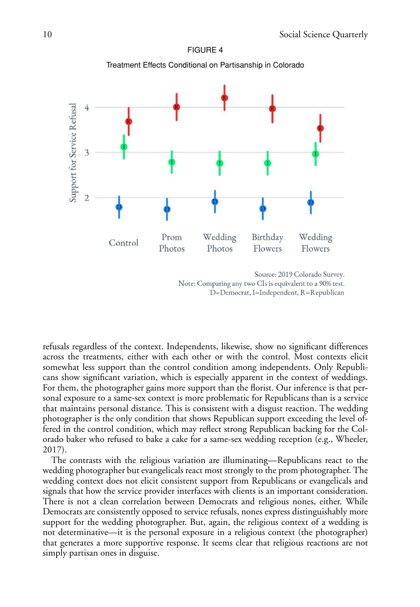

FIGURE 4

Note: Comparing any two CIs is equivalent to a 90% test. D=Democrat, I=Independent, R=Republican

refusals regardless of the context. Independents, likewise, show no significant differences across the treatments, either with each other or with the control. Most contexts elicit somewhat less support than the control condition among independents. Only Republicans show significant variation, which is especially apparent in the context of weddings. For them, the photographer gains more support than the florist. Our inference is that personal exposure to a same-sex context is more problematic for Republicans than is a service that maintains personal distance. This is consistent with a disgust reaction. The wedding photographer is the only condition that shows Republican support exceeding the level offered in the control condition, which may reflect strong Republican backing for the Colorado baker who refused to bake a cake for a same-sex wedding reception (e.g., Wheeler, 2017).

The contrasts with the religious variation are illuminating—Republicans react to the wedding photographer but evangelicals react most strongly to the prom photographer. The wedding context does not elicit consistent support from Republicans or evangelicals and signals that how the service provider interfaces with clients is an important consideration. There is not a clean correlation between Democrats and religious nones, either. While Democrats are consistently opposed to service refusals, nones express distinguishably more support for the wedding photographer. But, again, the religious context of a wedding is not determinative—it is the personal exposure in a religious context (the photographer) that generates a more supportive response. It seems clear that religious reactions are not simply partisan ones in disguise.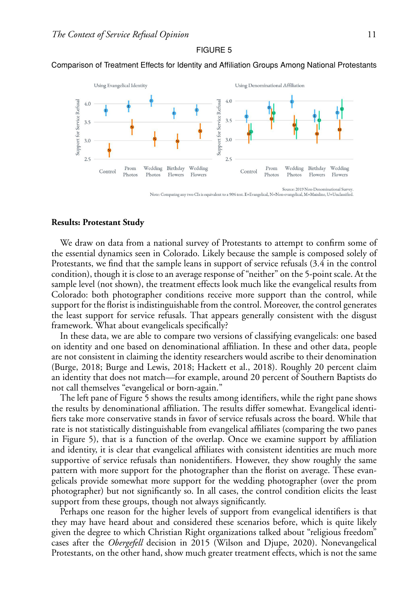#### FIGURE 5



Comparison of Treatment Effects for Identity and Affiliation Groups Among National Protestants

Source: 2019 Non-Denominational Survey.<br>Note: Comparing any two CIs is equivalent to a 90% test. E=Evangelical, N=Non-evangelical, M=Mainline, U=Unclassified.

## **Results: Protestant Study**

We draw on data from a national survey of Protestants to attempt to confirm some of the essential dynamics seen in Colorado. Likely because the sample is composed solely of Protestants, we find that the sample leans in support of service refusals (3.4 in the control condition), though it is close to an average response of "neither" on the 5-point scale. At the sample level (not shown), the treatment effects look much like the evangelical results from Colorado: both photographer conditions receive more support than the control, while support for the florist is indistinguishable from the control. Moreover, the control generates the least support for service refusals. That appears generally consistent with the disgust framework. What about evangelicals specifically?

In these data, we are able to compare two versions of classifying evangelicals: one based on identity and one based on denominational affiliation. In these and other data, people are not consistent in claiming the identity researchers would ascribe to their denomination (Burge, 2018; Burge and Lewis, 2018; Hackett et al., 2018). Roughly 20 percent claim an identity that does not match—for example, around 20 percent of Southern Baptists do not call themselves "evangelical or born-again."

The left pane of Figure 5 shows the results among identifiers, while the right pane shows the results by denominational affiliation. The results differ somewhat. Evangelical identifiers take more conservative stands in favor of service refusals across the board. While that rate is not statistically distinguishable from evangelical affiliates (comparing the two panes in Figure 5), that is a function of the overlap. Once we examine support by affiliation and identity, it is clear that evangelical affiliates with consistent identities are much more supportive of service refusals than nonidentifiers. However, they show roughly the same pattern with more support for the photographer than the florist on average. These evangelicals provide somewhat more support for the wedding photographer (over the prom photographer) but not significantly so. In all cases, the control condition elicits the least support from these groups, though not always significantly.

Perhaps one reason for the higher levels of support from evangelical identifiers is that they may have heard about and considered these scenarios before, which is quite likely given the degree to which Christian Right organizations talked about "religious freedom" cases after the *Obergefell* decision in 2015 (Wilson and Djupe, 2020). Nonevangelical Protestants, on the other hand, show much greater treatment effects, which is not the same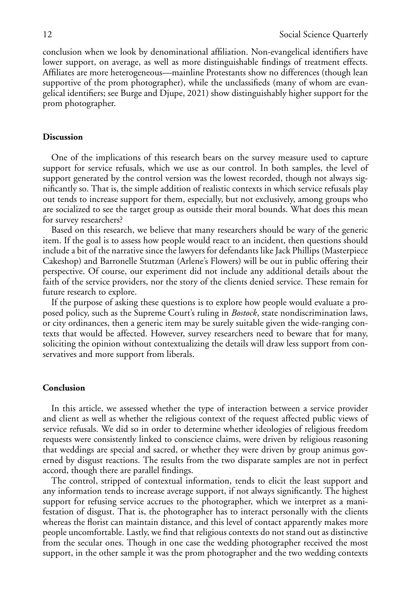conclusion when we look by denominational affiliation. Non-evangelical identifiers have lower support, on average, as well as more distinguishable findings of treatment effects. Affiliates are more heterogeneous—mainline Protestants show no differences (though lean supportive of the prom photographer), while the unclassifieds (many of whom are evangelical identifiers; see Burge and Djupe, 2021) show distinguishably higher support for the prom photographer.

# **Discussion**

One of the implications of this research bears on the survey measure used to capture support for service refusals, which we use as our control. In both samples, the level of support generated by the control version was the lowest recorded, though not always significantly so. That is, the simple addition of realistic contexts in which service refusals play out tends to increase support for them, especially, but not exclusively, among groups who are socialized to see the target group as outside their moral bounds. What does this mean for survey researchers?

Based on this research, we believe that many researchers should be wary of the generic item. If the goal is to assess how people would react to an incident, then questions should include a bit of the narrative since the lawyers for defendants like Jack Phillips (Masterpiece Cakeshop) and Barronelle Stutzman (Arlene's Flowers) will be out in public offering their perspective. Of course, our experiment did not include any additional details about the faith of the service providers, nor the story of the clients denied service. These remain for future research to explore.

If the purpose of asking these questions is to explore how people would evaluate a proposed policy, such as the Supreme Court's ruling in *Bostock*, state nondiscrimination laws, or city ordinances, then a generic item may be surely suitable given the wide-ranging contexts that would be affected. However, survey researchers need to beware that for many, soliciting the opinion without contextualizing the details will draw less support from conservatives and more support from liberals.

# **Conclusion**

In this article, we assessed whether the type of interaction between a service provider and client as well as whether the religious context of the request affected public views of service refusals. We did so in order to determine whether ideologies of religious freedom requests were consistently linked to conscience claims, were driven by religious reasoning that weddings are special and sacred, or whether they were driven by group animus governed by disgust reactions. The results from the two disparate samples are not in perfect accord, though there are parallel findings.

The control, stripped of contextual information, tends to elicit the least support and any information tends to increase average support, if not always significantly. The highest support for refusing service accrues to the photographer, which we interpret as a manifestation of disgust. That is, the photographer has to interact personally with the clients whereas the florist can maintain distance, and this level of contact apparently makes more people uncomfortable. Lastly, we find that religious contexts do not stand out as distinctive from the secular ones. Though in one case the wedding photographer received the most support, in the other sample it was the prom photographer and the two wedding contexts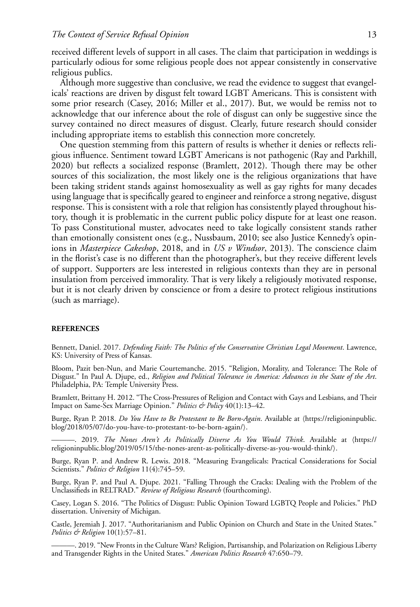received different levels of support in all cases. The claim that participation in weddings is particularly odious for some religious people does not appear consistently in conservative religious publics.

Although more suggestive than conclusive, we read the evidence to suggest that evangelicals' reactions are driven by disgust felt toward LGBT Americans. This is consistent with some prior research (Casey, 2016; Miller et al., 2017). But, we would be remiss not to acknowledge that our inference about the role of disgust can only be suggestive since the survey contained no direct measures of disgust. Clearly, future research should consider including appropriate items to establish this connection more concretely.

One question stemming from this pattern of results is whether it denies or reflects religious influence. Sentiment toward LGBT Americans is not pathogenic (Ray and Parkhill, 2020) but reflects a socialized response (Bramlett, 2012). Though there may be other sources of this socialization, the most likely one is the religious organizations that have been taking strident stands against homosexuality as well as gay rights for many decades using language that is specifically geared to engineer and reinforce a strong negative, disgust response. This is consistent with a role that religion has consistently played throughout history, though it is problematic in the current public policy dispute for at least one reason. To pass Constitutional muster, advocates need to take logically consistent stands rather than emotionally consistent ones (e.g., Nussbaum, 2010; see also Justice Kennedy's opinions in *Masterpiece Cakeshop*, 2018, and in *US v Windsor*, 2013). The conscience claim in the florist's case is no different than the photographer's, but they receive different levels of support. Supporters are less interested in religious contexts than they are in personal insulation from perceived immorality. That is very likely a religiously motivated response, but it is not clearly driven by conscience or from a desire to protect religious institutions (such as marriage).

#### **REFERENCES**

Bennett, Daniel. 2017. *Defending Faith: The Politics of the Conservative Christian Legal Movement*. Lawrence, KS: University of Press of Kansas.

Bloom, Pazit ben-Nun, and Marie Courtemanche. 2015. "Religion, Morality, and Tolerance: The Role of Disgust." In Paul A. Djupe, ed., *Religion and Political Tolerance in America: Advances in the State of the Art*. Philadelphia, PA: Temple University Press.

Bramlett, Brittany H. 2012. "The Cross-Pressures of Religion and Contact with Gays and Lesbians, and Their Impact on Same-Sex Marriage Opinion." *Politics & Policy* 40(1):13–42.

Burge, Ryan P. 2018. *Do You Have to Be Protestant to Be Born-Again*. Available at ([https://religioninpublic.](https://religioninpublic.blog/2018/05/07/do-you-have-to-protestant-to-be-born-again/)<br>Li regoglazioni [blog/2018/05/07/do-you-have-to-protestant-to-be-born-again/](https://religioninpublic.blog/2018/05/07/do-you-have-to-protestant-to-be-born-again/).

———. 2019. *The Nones Aren't As Politically Diverse As You Would Think*. Available at {[https://](https://religioninpublic.blog/2019/05/15/the-nones-arent-as-politically-diverse-as-you-would-think/) [religioninpublic.blog/2019/05/15/the-nones-arent-as-politically-diverse-as-you-would-think/](https://religioninpublic.blog/2019/05/15/the-nones-arent-as-politically-diverse-as-you-would-think/).

Burge, Ryan P. and Andrew R. Lewis. 2018. "Measuring Evangelicals: Practical Considerations for Social Scientists." *Politics & Religion* 11(4):745–59.

Burge, Ryan P. and Paul A. Djupe. 2021. "Falling Through the Cracks: Dealing with the Problem of the Unclassifieds in RELTRAD." *Review of Religious Research* (fourthcoming).

Casey, Logan S. 2016. "The Politics of Disgust: Public Opinion Toward LGBTQ People and Policies." PhD dissertation. University of Michigan.

Castle, Jeremiah J. 2017. "Authoritarianism and Public Opinion on Church and State in the United States." *Politics & Religion* 10(1):57–81.

———. 2019. "New Fronts in the Culture Wars? Religion, Partisanship, and Polarization on Religious Liberty and Transgender Rights in the United States." *American Politics Research* 47:650–79.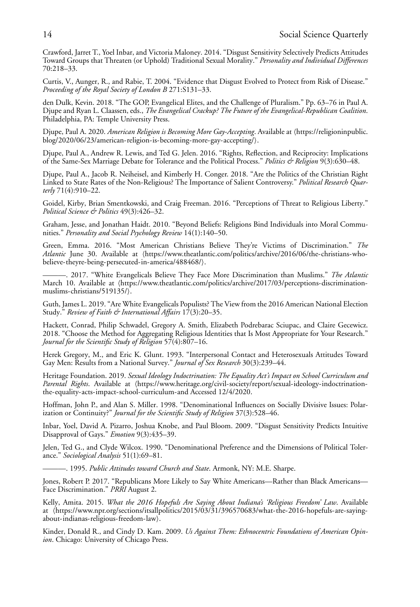Crawford, Jarret T., Yoel Inbar, and Victoria Maloney. 2014. "Disgust Sensitivity Selectively Predicts Attitudes Toward Groups that Threaten (or Uphold) Traditional Sexual Morality." *Personality and Individual Differences* 70:218–33.

Curtis, V., Aunger, R., and Rabie, T. 2004. "Evidence that Disgust Evolved to Protect from Risk of Disease." *Proceeding of the Royal Society of London B* 271:S131–33.

den Dulk, Kevin. 2018. "The GOP, Evangelical Elites, and the Challenge of Pluralism." Pp. 63–76 in Paul A. Djupe and Ryan L. Claassen, eds., *The Evangelical Crackup? The Future of the Evangelical-Republican Coalition*. Philadelphia, PA: Temple University Press.

Djupe, Paul A. 2020. *American Religion is Becoming More Gay-Accepting*. Available at ([https://religioninpublic.](https://religioninpublic.blog/2020/06/23/american-religion-is-becoming-more-gay-accepting/)<br>Ll. 200001061081 [blog/2020/06/23/american-religion-is-becoming-more-gay-accepting/](https://religioninpublic.blog/2020/06/23/american-religion-is-becoming-more-gay-accepting/).

Djupe, Paul A., Andrew R. Lewis, and Ted G. Jelen. 2016. "Rights, Reflection, and Reciprocity: Implications of the Same-Sex Marriage Debate for Tolerance and the Political Process." *Politics & Religion* 9(3):630–48.

Djupe, Paul A., Jacob R. Neiheisel, and Kimberly H. Conger. 2018. "Are the Politics of the Christian Right Linked to State Rates of the Non-Religious? The Importance of Salient Controversy." *Political Research Quarterly* 71(4):910–22.

Goidel, Kirby, Brian Smentkowski, and Craig Freeman. 2016. "Perceptions of Threat to Religious Liberty." *Political Science & Politics* 49(3):426–32.

Graham, Jesse, and Jonathan Haidt. 2010. "Beyond Beliefs: Religions Bind Individuals into Moral Communities." *Personality and Social Psychology Review* 14(1):140–50.

Green, Emma. 2016. "Most American Christians Believe They're Victims of Discrimination." *The Atlantic* June 30. Available at ([https://www.theatlantic.com/politics/archive/2016/06/the-christians-who](https://www.theatlantic.com/politics/archive/2016/06/the-christians-who-believe-theyre-being-persecuted-in-america/488468/)[believe-theyre-being-persecuted-in-america/488468/](https://www.theatlantic.com/politics/archive/2016/06/the-christians-who-believe-theyre-being-persecuted-in-america/488468/).

———. 2017. "White Evangelicals Believe They Face More Discrimination than Muslims." *The Atlantic* March 10. Available at ([https://www.theatlantic.com/politics/archive/2017/03/perceptions-discrimination](https://www.theatlantic.com/politics/archive/2017/03/perceptions-discrimination-muslims-christians/519135/)[muslims-christians/519135/](https://www.theatlantic.com/politics/archive/2017/03/perceptions-discrimination-muslims-christians/519135/)).

Guth, James L. 2019. "Are White Evangelicals Populists? The View from the 2016 American National Election Study." *Review of Faith & International Affairs* 17(3):20–35.

Hackett, Conrad, Philip Schwadel, Gregory A. Smith, Elizabeth Podrebarac Sciupac, and Claire Gecewicz. 2018. "Choose the Method for Aggregating Religious Identities that Is Most Appropriate for Your Research." *Journal for the Scientific Study of Religion* 57(4):807–16.

Herek Gregory, M., and Eric K. Glunt. 1993. "Interpersonal Contact and Heterosexuals Attitudes Toward Gay Men: Results from a National Survey." *Journal of Sex Research* 30(3):239–44.

Heritage Foundation. 2019. *Sexual Ideology Indoctrination: The Equality Act's Impact on School Curriculum and* Parental Rights. Available at ([https://www.heritage.org/civil-society/report/sexual-ideology-indoctrination](https://www.heritage.org/civil-society/report/sexual-ideology-indoctrination-the-equality-acts-impact-school-curriculum-)[the-equality-acts-impact-school-curriculum-a](https://www.heritage.org/civil-society/report/sexual-ideology-indoctrination-the-equality-acts-impact-school-curriculum-)nd Accessed 12/4/2020.

Hoffman, John P., and Alan S. Miller. 1998. "Denominational Influences on Socially Divisive Issues: Polarization or Continuity?" *Journal for the Scientific Study of Religion* 37(3):528–46.

Inbar, Yoel, David A. Pizarro, Joshua Knobe, and Paul Bloom. 2009. "Disgust Sensitivity Predicts Intuitive Disapproval of Gays." *Emotion* 9(3):435–39.

Jelen, Ted G., and Clyde Wilcox. 1990. "Denominational Preference and the Dimensions of Political Tolerance." *Sociological Analysis* 51(1):69–81.

———. 1995. *Public Attitudes toward Church and State*. Armonk, NY: M.E. Sharpe.

Jones, Robert P. 2017. "Republicans More Likely to Say White Americans—Rather than Black Americans— Face Discrimination." *PRRI* August 2.

Kelly, Amita. 2015. *What the 2016 Hopefuls Are Saying About Indiana's 'Religious Freedom' Law*. Available at -[https://www.npr.org/sections/itsallpolitics/2015/03/31/396570683/what-the-2016-hopefuls-are-saying](https://www.npr.org/sections/itsallpolitics/2015/03/31/396570683/what-the-2016-hopefuls-are-saying-about-indianas-religious-freedom-law)[about-indianas-religious-freedom-law](https://www.npr.org/sections/itsallpolitics/2015/03/31/396570683/what-the-2016-hopefuls-are-saying-about-indianas-religious-freedom-law).

Kinder, Donald R., and Cindy D. Kam. 2009. *Us Against Them: Ethnocentric Foundations of American Opinion*. Chicago: University of Chicago Press.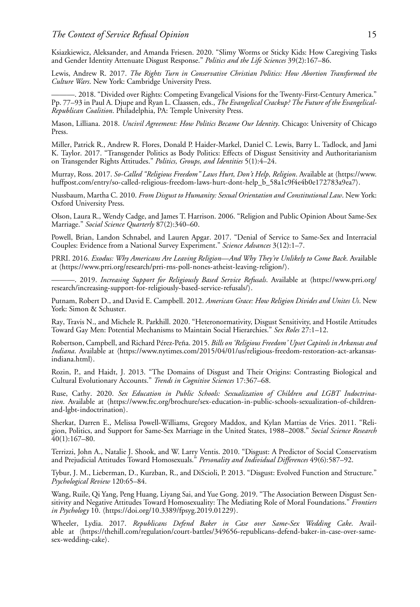Ksiazkiewicz, Aleksander, and Amanda Friesen. 2020. "Slimy Worms or Sticky Kids: How Caregiving Tasks and Gender Identity Attenuate Disgust Response." *Politics and the Life Sciences* 39(2):167–86.

Lewis, Andrew R. 2017. *The Rights Turn in Conservative Christian Politics: How Abortion Transformed the Culture Wars*. New York: Cambridge University Press.

———. 2018. "Divided over Rights: Competing Evangelical Visions for the Twenty-First-Century America." Pp. 77–93 in Paul A. Djupe and Ryan L. Claassen, eds., *The Evangelical Crackup? The Future of the Evangelical-Republican Coalition*. Philadelphia, PA: Temple University Press.

Mason, Lilliana. 2018. *Uncivil Agreement: How Politics Became Our Identity*. Chicago: University of Chicago Press.

Miller, Patrick R., Andrew R. Flores, Donald P. Haider-Markel, Daniel C. Lewis, Barry L. Tadlock, and Jami K. Taylor. 2017. "Transgender Politics as Body Politics: Effects of Disgust Sensitivity and Authoritarianism on Transgender Rights Attitudes." *Politics, Groups, and Identities* 5(1):4–24.

Murray, Ross. 2017. *So-Called "Religious Freedom" Laws Hurt, Don't Help, Religion.* Available at ([https://www.](https://www.huffpost.com/entry/so-called-religious-freedom-laws-hurt-dont-help_b_58a1c9f4e4b0e172783a9ea7)<br>. [huffpost.com/entry/so-called-religious-freedom-laws-hurt-dont-help\\_b\\_58a1c9f4e4b0e172783a9ea7](https://www.huffpost.com/entry/so-called-religious-freedom-laws-hurt-dont-help_b_58a1c9f4e4b0e172783a9ea7)).

Nussbaum, Martha C. 2010. *From Disgust to Humanity: Sexual Orientation and Constitutional Law*. New York: Oxford University Press.

Olson, Laura R., Wendy Cadge, and James T. Harrison. 2006. "Religion and Public Opinion About Same-Sex Marriage." *Social Science Quarterly* 87(2):340–60.

Powell, Brian, Landon Schnabel, and Lauren Apgar. 2017. "Denial of Service to Same-Sex and Interracial Couples: Evidence from a National Survey Experiment." *Science Advances* 3(12):1–7.

PRRI. 2016. *Exodus: Why Americans Are Leaving Religion—And Why They're Unlikely to Come Back*. Available at (<https://www.prri.org/research/prri-rns-poll-nones-atheist-leaving-religion/>).

———. 2019. *Increasing Support for Religiously Based Service Refusals*. Available at ([https://www.prri.org/](https://www.prri.org/research/increasing-support-for-religiously-based-service-refusals/) [research/increasing-support-for-religiously-based-service-refusals/](https://www.prri.org/research/increasing-support-for-religiously-based-service-refusals/).

Putnam, Robert D., and David E. Campbell. 2012. *American Grace: How Religion Divides and Unites Us*. New York: Simon & Schuster.

Ray, Travis N., and Michele R. Parkhill. 2020. "Heteronormativity, Disgust Sensitivity, and Hostile Attitudes Toward Gay Men: Potential Mechanisms to Maintain Social Hierarchies." *Sex Roles* 27:1–12.

Robertson, Campbell, and Richard Pérez-Peña. 2015. *Bills on 'Religious Freedom' Upset Capitols in Arkansas and Indiana*. Available at (https://www.nytimes.com/2015/04/01/us/religious-freedom-restoration-act-arkansas-<br>. [indiana.html](https://www.nytimes.com/2015/04/01/us/religious-freedom-restoration-act-arkansas-indiana.html)).

Rozin, P., and Haidt, J. 2013. "The Domains of Disgust and Their Origins: Contrasting Biological and Cultural Evolutionary Accounts." *Trends in Cognitive Sciences* 17:367–68.

Ruse, Cathy. 2020. *Sex Education in Public Schools: Sexualization of Children and LGBT Indoctrina*tion. Available at ([https://www.frc.org/brochure/sex-education-in-public-schools-sexualization-of-children](https://www.frc.org/brochure/sex-education-in-public-schools-sexualization-of-children-and-lgbt-indoctrination)[and-lgbt-indoctrination](https://www.frc.org/brochure/sex-education-in-public-schools-sexualization-of-children-and-lgbt-indoctrination).

Sherkat, Darren E., Melissa Powell-Williams, Gregory Maddox, and Kylan Mattias de Vries. 2011. "Religion, Politics, and Support for Same-Sex Marriage in the United States, 1988–2008." *Social Science Research* 40(1):167–80.

Terrizzi, John A., Natalie J. Shook, and W. Larry Ventis. 2010. "Disgust: A Predictor of Social Conservatism and Prejudicial Attitudes Toward Homosexuals." *Personality and Individual Differences* 49(6):587–92.

Tybur, J. M., Lieberman, D., Kurzban, R., and DiScioli, P. 2013. "Disgust: Evolved Function and Structure." *Psychological Review* 120:65–84.

Wang, Ruile, Qi Yang, Peng Huang, Liyang Sai, and Yue Gong. 2019. "The Association Between Disgust Sensitivity and Negative Attitudes Toward Homosexuality: The Mediating Role of Moral Foundations." *Frontiers in Psychology* 10. (<https://doi.org/10.3389/fpsyg.2019.01229>).

Wheeler, Lydia. 2017. *Republicans Defend Baker in Case over Same-Sex Wedding Cake*. Available at -[https://thehill.com/regulation/court-battles/349656-republicans-defend-baker-in-case-over-same](https://thehill.com/regulation/court-battles/349656-republicans-defend-baker-in-case-over-same-sex-wedding-cake)[sex-wedding-cake](https://thehill.com/regulation/court-battles/349656-republicans-defend-baker-in-case-over-same-sex-wedding-cake).